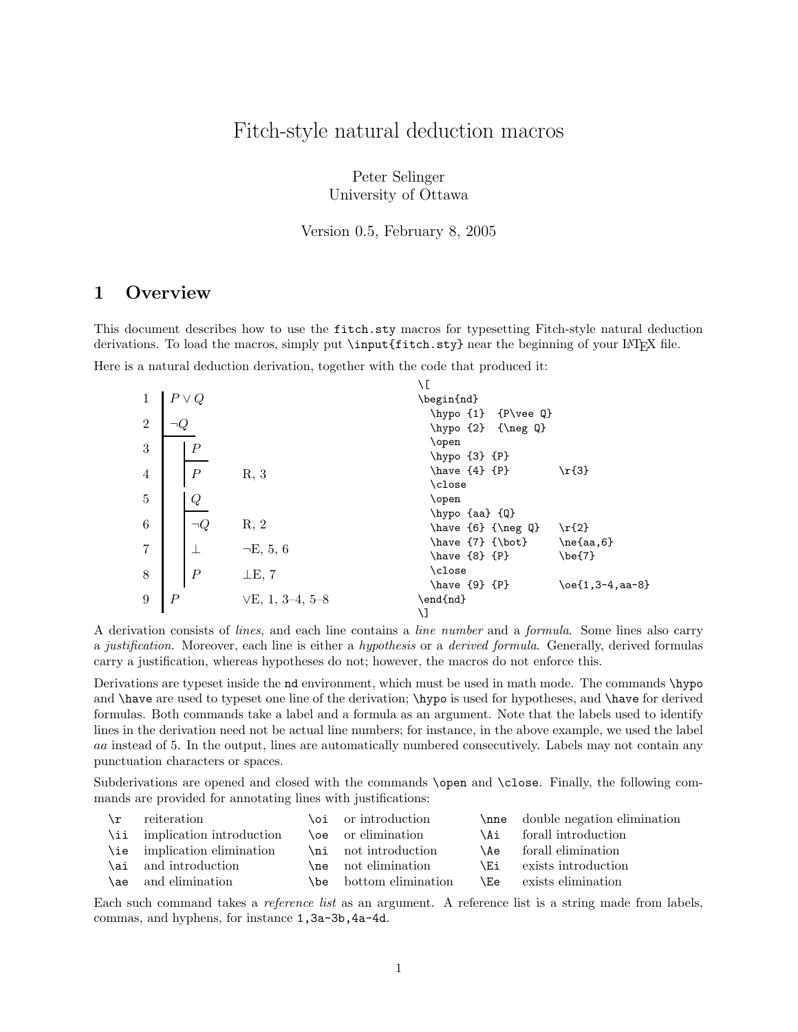# Fitch-style natural deduction macros

Peter Selinger University of Ottawa

Version 0.5, February 8, 2005

## 1 Overview

This document describes how to use the fitch.sty macros for typesetting Fitch-style natural deduction derivations. To load the macros, simply put \input{fitch.sty} near the beginning of your LATEX file. Here is a natural deduction derivation, together with the code that produced it:

|                |                  |                   | ١C                                                    |                            |
|----------------|------------------|-------------------|-------------------------------------------------------|----------------------------|
| 1              | $P \vee Q$       |                   | \begin{nd}                                            |                            |
| $\overline{2}$ |                  |                   | \hypo $\{1\}$ $\{P\vee\vee Q\}$<br>\hypo {2} {\neg Q} |                            |
| 3              | $\boldsymbol{P}$ |                   | \open<br>\hypo {3} {P}                                |                            |
| $\overline{4}$ | $\overline{P}$   | R, 3              | \have ${4}$ ${P}$<br>\close                           | $\r{3}$                    |
| 5              | Q                |                   | \open                                                 |                            |
| 6              | -O               | R, 2              | $\hbox{\hbox{hypo}~}\{Q\}$<br>$\have 66$ {\neg Q}     | $\r{2}$                    |
| 7              |                  | $\neg E, 5, 6$    | \have {7} {\bot}<br>$\hbox{have } \{8\}$ $\{P\}$      | $\neq$ (aa, 6}<br>$\be{7}$ |
| $8\,$          | $\boldsymbol{P}$ | $\perp$ E, 7      | \close<br>$\hbox{have } {9}$ ${P}$                    | $\oe{1,3-4,aa-8}$          |
| 9              | $\, P \,$        | $VE, 1, 3-4, 5-8$ | \end{nd}<br>۱J                                        |                            |

A derivation consists of lines, and each line contains a line number and a formula. Some lines also carry a justification. Moreover, each line is either a hypothesis or a derived formula. Generally, derived formulas carry a justification, whereas hypotheses do not; however, the macros do not enforce this.

Derivations are typeset inside the nd environment, which must be used in math mode. The commands \hypo and \have are used to typeset one line of the derivation; \hypo is used for hypotheses, and \have for derived formulas. Both commands take a label and a formula as an argument. Note that the labels used to identify lines in the derivation need not be actual line numbers; for instance, in the above example, we used the label aa instead of 5. In the output, lines are automatically numbered consecutively. Labels may not contain any punctuation characters or spaces.

Subderivations are opened and closed with the commands **\open** and **\close**. Finally, the following commands are provided for annotating lines with justifications:

| $\mathbf{r}$ | reiteration                  | \oi or introduction           |     | \nne double negation elimination |
|--------------|------------------------------|-------------------------------|-----|----------------------------------|
|              | \ii implication introduction | <b>loe</b> or elimination     | \Ai | forall introduction              |
|              | \ie implication elimination  | \ni not introduction          |     | \Ae forall elimination           |
|              | \ai and introduction         |                               | \Ei | exists introduction              |
|              | \ae and elimination          | <b>\be</b> bottom elimination |     | <b>Le</b> exists elimination     |

Each such command takes a *reference list* as an argument. A reference list is a string made from labels, commas, and hyphens, for instance 1,3a-3b,4a-4d.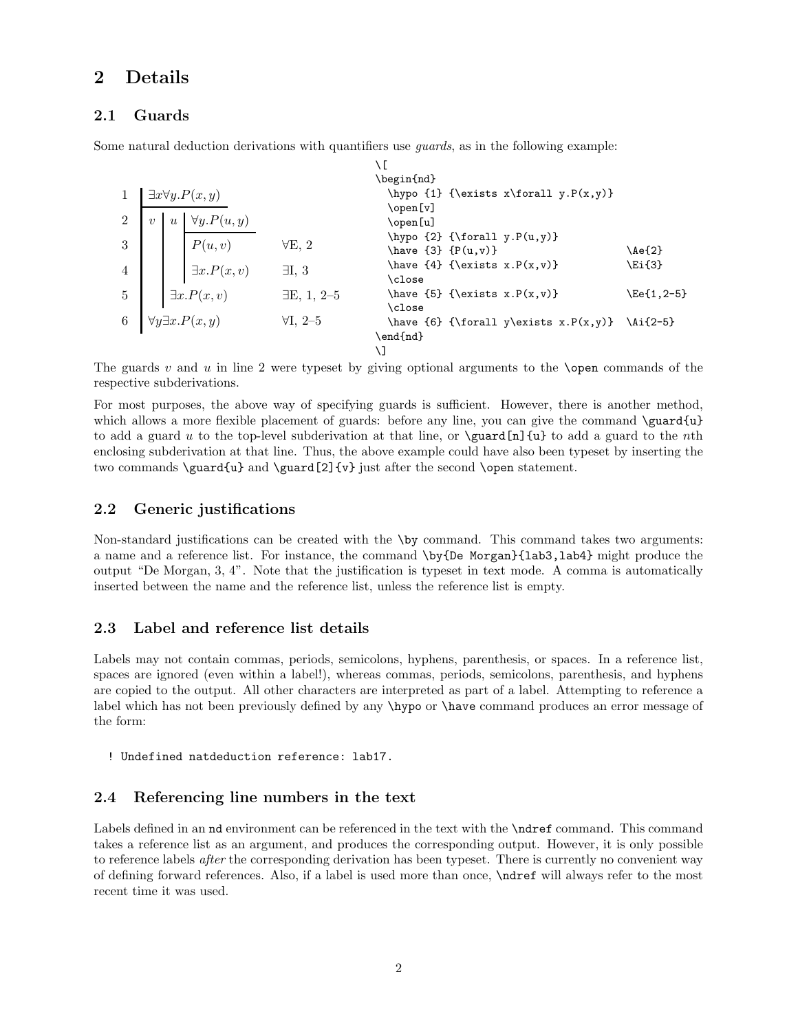## 2 Details

## 2.1 Guards

Some natural deduction derivations with quantifiers use guards, as in the following example:

 $\sqrt{2}$ 

|   |                  |  |                                                                                                                                                 | \begin{nd}                                              |                                                                                             |
|---|------------------|--|-------------------------------------------------------------------------------------------------------------------------------------------------|---------------------------------------------------------|---------------------------------------------------------------------------------------------|
|   |                  |  |                                                                                                                                                 |                                                         |                                                                                             |
|   |                  |  |                                                                                                                                                 | \open[v]                                                |                                                                                             |
|   | $\boldsymbol{u}$ |  |                                                                                                                                                 | \open[u]                                                |                                                                                             |
|   |                  |  |                                                                                                                                                 | \hypo $\{2\}$ {\forall y.P(u,y)}                        |                                                                                             |
|   |                  |  |                                                                                                                                                 | \have $\{3\}$ $\{P(u,v)\}$                              | $\Aef2$                                                                                     |
|   |                  |  |                                                                                                                                                 | \have $\{4\}$ {\exists x.P(x,v)}                        | \Ei{3}                                                                                      |
|   |                  |  |                                                                                                                                                 | \close                                                  |                                                                                             |
|   |                  |  |                                                                                                                                                 | \have ${5}$ {\exists x.P(x,v)}                          | \Ee{1,2-5}                                                                                  |
|   |                  |  |                                                                                                                                                 | \close                                                  |                                                                                             |
| 6 |                  |  | $\forall I, 2\text{-}5$                                                                                                                         |                                                         |                                                                                             |
|   |                  |  |                                                                                                                                                 | \end{nd}                                                |                                                                                             |
|   |                  |  |                                                                                                                                                 |                                                         |                                                                                             |
|   |                  |  | $\exists x \forall y . P(x, y)$<br>$\forall y.P(u,y)$<br>P(u, v)<br>$\exists x.P(x,v)$<br>$\exists x.P(x,v)$<br>$\forall y \exists x . P(x, y)$ | $\forall E, 2$<br>$\exists I, 3$<br>$\exists E, 1, 2-5$ | \hypo $\{1\}$ {\exists x\forall y.P(x,y)}<br>\have {6} {\forall y\exists x.P(x,y)} \Ai{2-5} |

The guards v and u in line 2 were typeset by giving optional arguments to the **\open** commands of the respective subderivations.

For most purposes, the above way of specifying guards is sufficient. However, there is another method, which allows a more flexible placement of guards: before any line, you can give the command \guard{u} to add a guard u to the top-level subderivation at that line, or  $\gamma$  (guard[n]{u} to add a guard to the nth enclosing subderivation at that line. Thus, the above example could have also been typeset by inserting the two commands  $\quad{u}$  and  $\gamma[2]{v}$  just after the second  $\open{\overline{\phantom{u}}\space}$ 

## 2.2 Generic justifications

Non-standard justifications can be created with the \by command. This command takes two arguments: a name and a reference list. For instance, the command \by{De Morgan}{lab3,lab4} might produce the output "De Morgan, 3, 4". Note that the justification is typeset in text mode. A comma is automatically inserted between the name and the reference list, unless the reference list is empty.

## 2.3 Label and reference list details

Labels may not contain commas, periods, semicolons, hyphens, parenthesis, or spaces. In a reference list, spaces are ignored (even within a label!), whereas commas, periods, semicolons, parenthesis, and hyphens are copied to the output. All other characters are interpreted as part of a label. Attempting to reference a label which has not been previously defined by any \hypo or \have command produces an error message of the form:

! Undefined natdeduction reference: lab17.

## 2.4 Referencing line numbers in the text

Labels defined in an nd environment can be referenced in the text with the **\ndref** command. This command takes a reference list as an argument, and produces the corresponding output. However, it is only possible to reference labels after the corresponding derivation has been typeset. There is currently no convenient way of defining forward references. Also, if a label is used more than once, \ndref will always refer to the most recent time it was used.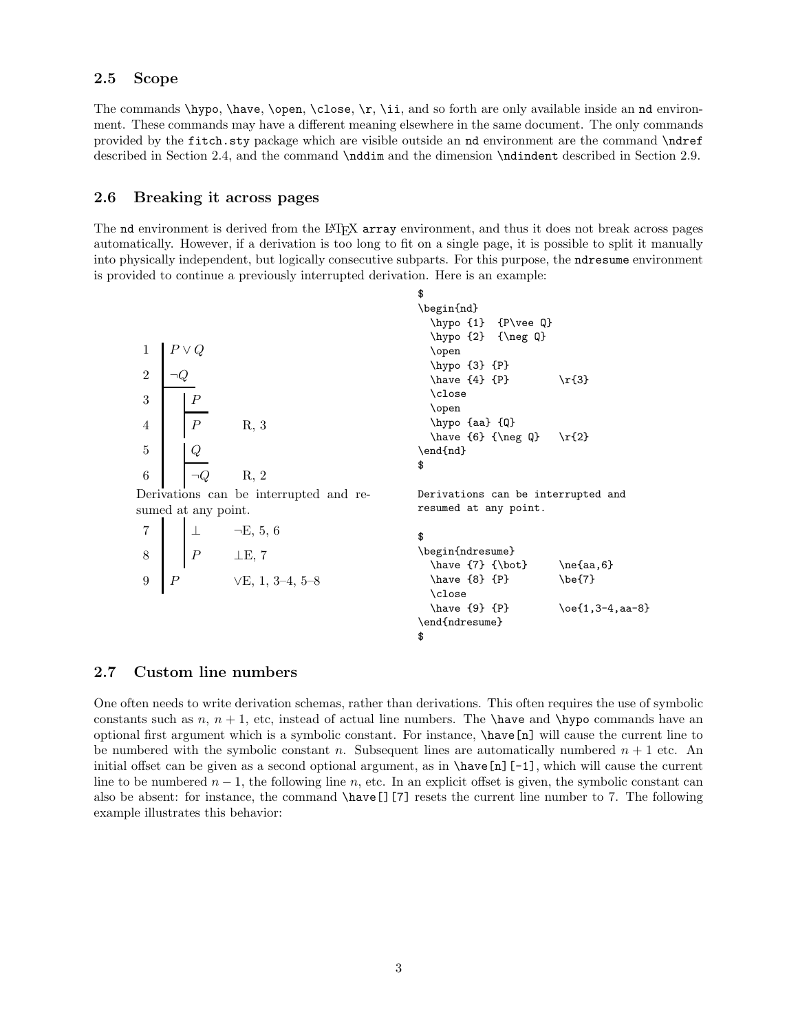#### 2.5 Scope

The commands  $\hbar y$ o,  $\hbar z$ ,  $\ch z$ ,  $\thinspace i$ ,  $\thinspace i$ ,  $\thinspace j$ ,  $\thinspace j$ , and so forth are only available inside an nd environment. These commands may have a different meaning elsewhere in the same document. The only commands provided by the fitch.sty package which are visible outside an nd environment are the command \ndref described in Section 2.4, and the command \nddim and the dimension \ndindent described in Section 2.9.

## 2.6 Breaking it across pages

The nd environment is derived from the L<sup>A</sup>TEX array environment, and thus it does not break across pages automatically. However, if a derivation is too long to fit on a single page, it is possible to split it manually into physically independent, but logically consecutive subparts. For this purpose, the ndresume environment is provided to continue a previously interrupted derivation. Here is an example:

 $1$   $P \vee Q$  $\overline{2}$  $3 \mid F$  $4 \mid P \qquad R, 3$ 5 Q 6  $\Box Q$  R, 2 Derivations can be interrupted and resumed at any point.  $7 \perp \perp \neg E, 5, 6$  $8$  P  $\perp E$ , 7 9  $P$   $V\to$ , 1, 3–4, 5–8 \$ \begin{nd} \hypo {1} {P\vee Q} \hypo {2} {\neg Q} \open \hypo {3} {P}  $\hbox{have} {4} {P} \quad \r{3}$ \close \open \hypo {aa} {Q} \have  ${6}$  {\neg Q} \r{2} \end{nd} \$ Derivations can be interrupted and resumed at any point. \$ \begin{ndresume}  $\hbox{\texttt{a}}, 6$  $\hbox{\texttt{8}}$  {P}  $\hbox{\texttt{9}}$ \close  $\hbox{\texttt{9}}$  {P}  $\o{1,3-4,aa-8}$ \end{ndresume} \$

#### 2.7 Custom line numbers

One often needs to write derivation schemas, rather than derivations. This often requires the use of symbolic constants such as n,  $n + 1$ , etc, instead of actual line numbers. The **\have** and **\hypo** commands have an optional first argument which is a symbolic constant. For instance, \have[n] will cause the current line to be numbered with the symbolic constant n. Subsequent lines are automatically numbered  $n + 1$  etc. An initial offset can be given as a second optional argument, as in \have[n][-1], which will cause the current line to be numbered  $n-1$ , the following line n, etc. In an explicit offset is given, the symbolic constant can also be absent: for instance, the command \have[][7] resets the current line number to 7. The following example illustrates this behavior: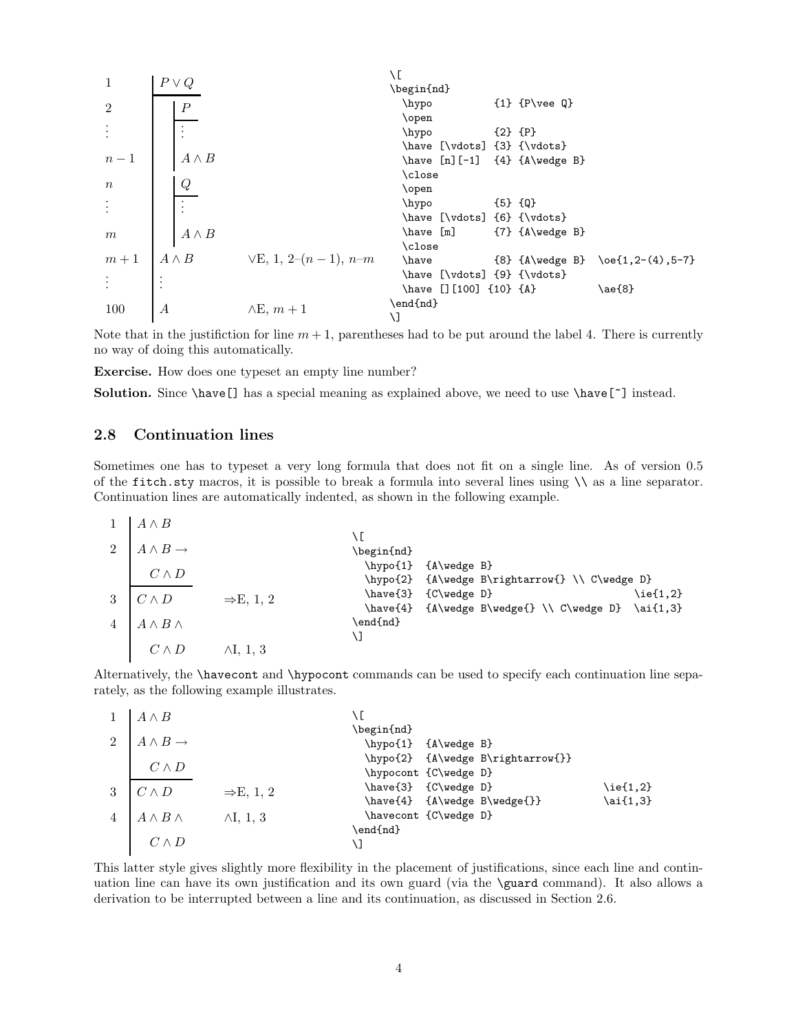| 1  | $P \vee Q$       | \n $\vee Q$   | \n $\vee Q$   | \n $\vee Q$ |
|----|------------------|---------------|---------------|-------------|
| 2  | $\frac{P}{P}$    | \n $\vee Q$   |               |             |
| 3  | \n $\vee Q$      | \n $\vee Q$   |               |             |
| 4  | \n $\wedge B$    | \n $\wedge Q$ |               |             |
| 5  | \n $\frac{Q}{P}$ | \n $\wedge Q$ |               |             |
| 6  | \n $\vee Q$      |               |               |             |
| 7  | \n $\frac{Q}{P}$ | \n $\wedge Q$ |               |             |
| 8  | \n $\wedge Q$    | \n $\wedge Q$ |               |             |
| 9  | \n $\wedge Q$    | \n $\wedge Q$ |               |             |
| 10 | \n $\wedge Q$    | \n $\wedge Q$ |               |             |
| 11 | \n $\wedge Q$    | \n $\wedge Q$ |               |             |
| 12 | \n $\wedge Q$    | \n $\wedge Q$ |               |             |
| 13 | \n $\wedge Q$    | \n $\wedge Q$ |               |             |
| 14 | \n $\wedge Q$    | \n $\wedge Q$ | \n $\wedge Q$ |             |
| 15 | \n $\wedge Q$    | \n $\wedge Q$ |               |             |
| 16 | \n $\wedge Q$    | \n $\wedge Q$ |               |             |
| 17 | \n<              |               |               |             |

Note that in the justifiction for line  $m + 1$ , parentheses had to be put around the label 4. There is currently no way of doing this automatically.

Exercise. How does one typeset an empty line number?

Solution. Since \have[] has a special meaning as explained above, we need to use \have[~] instead.

#### 2.8 Continuation lines

Sometimes one has to typeset a very long formula that does not fit on a single line. As of version 0.5 of the fitch.sty macros, it is possible to break a formula into several lines using  $\setminus \setminus$  as a line separator. Continuation lines are automatically indented, as shown in the following example.

|                | $A \wedge B$             |                       |                      |                                              |             |
|----------------|--------------------------|-----------------------|----------------------|----------------------------------------------|-------------|
|                |                          |                       | ١E                   |                                              |             |
| $\overline{2}$ | $A \wedge B \rightarrow$ |                       | \begin{nd}           |                                              |             |
|                |                          |                       | $\hbox{\tt hypo{1}}$ | ${A\wedge B}$                                |             |
|                | $C \wedge D$             |                       | \hypo{2}             | ${A\wedge B\rightarrow} \ \\\ C\wedge D\}$   |             |
| 3              | $C \wedge D$             | $\Rightarrow$ E, 1, 2 | \have{3}             | ${C\wedge C}$                                | $\leq$ 1,2} |
|                |                          |                       | \have{4}             | $\{A\wedge B\wedge\{\} \ \} \$ \ai $\{1,3\}$ |             |
|                | $A \wedge B \wedge$      |                       | \end{nd}             |                                              |             |
|                |                          |                       | ۱J                   |                                              |             |
|                | $C \wedge D$             | $\wedge I$ , 1, 3     |                      |                                              |             |
|                |                          |                       |                      |                                              |             |

Alternatively, the \havecont and \hypocont commands can be used to specify each continuation line separately, as the following example illustrates.

|                | $A \wedge B$             |                       |                       |                                   |             |
|----------------|--------------------------|-----------------------|-----------------------|-----------------------------------|-------------|
|                |                          |                       | \begin{nd}            |                                   |             |
| 2              | $A \wedge B \rightarrow$ |                       | \hypo{1} {A\wedge B}  |                                   |             |
|                |                          |                       |                       | \hypo{2} {A\wedge B\rightarrow{}} |             |
|                | $C \wedge D$             |                       | \hypocont {C\wedge D} |                                   |             |
| 3              | $C \wedge D$             | $\Rightarrow$ E, 1, 2 | \have{3} {C\wedge D}  |                                   | $\leq$ 1,2} |
|                |                          |                       |                       | \have{4} {A\wedge B\wedge{}}      | $\ai{1,3}$  |
| $\overline{4}$ | $A \wedge B \wedge$      | $\wedge I$ , 1, 3     | \havecont {C\wedge D} |                                   |             |
|                |                          |                       | \end{nd}              |                                   |             |
|                |                          |                       |                       |                                   |             |

This latter style gives slightly more flexibility in the placement of justifications, since each line and continuation line can have its own justification and its own guard (via the \guard command). It also allows a derivation to be interrupted between a line and its continuation, as discussed in Section 2.6.